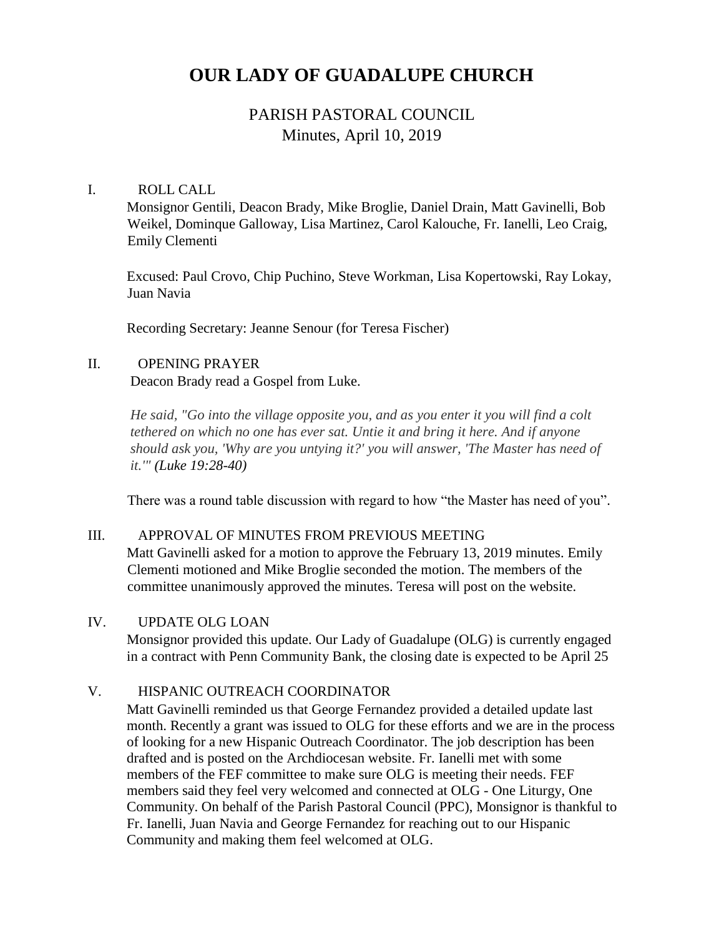# **OUR LADY OF GUADALUPE CHURCH**

## PARISH PASTORAL COUNCIL Minutes, April 10, 2019

#### I. ROLL CALL

Monsignor Gentili, Deacon Brady, Mike Broglie, Daniel Drain, Matt Gavinelli, Bob Weikel, Dominque Galloway, Lisa Martinez, Carol Kalouche, Fr. Ianelli, Leo Craig, Emily Clementi

Excused: Paul Crovo, Chip Puchino, Steve Workman, Lisa Kopertowski, Ray Lokay, Juan Navia

Recording Secretary: Jeanne Senour (for Teresa Fischer)

#### II. OPENING PRAYER

Deacon Brady read a Gospel from Luke.

*He said, "Go into the village opposite you, and as you enter it you will find a colt tethered on which no one has ever sat. Untie it and bring it here. And if anyone should ask you, 'Why are you untying it?' you will answer, 'The Master has need of it.'" (Luke 19:28-40)*

There was a round table discussion with regard to how "the Master has need of you".

#### III. APPROVAL OF MINUTES FROM PREVIOUS MEETING

Matt Gavinelli asked for a motion to approve the February 13, 2019 minutes. Emily Clementi motioned and Mike Broglie seconded the motion. The members of the committee unanimously approved the minutes. Teresa will post on the website.

#### IV. UPDATE OLG LOAN

Monsignor provided this update. Our Lady of Guadalupe (OLG) is currently engaged in a contract with Penn Community Bank, the closing date is expected to be April 25

#### V. HISPANIC OUTREACH COORDINATOR

Matt Gavinelli reminded us that George Fernandez provided a detailed update last month. Recently a grant was issued to OLG for these efforts and we are in the process of looking for a new Hispanic Outreach Coordinator. The job description has been drafted and is posted on the Archdiocesan website. Fr. Ianelli met with some members of the FEF committee to make sure OLG is meeting their needs. FEF members said they feel very welcomed and connected at OLG - One Liturgy, One Community. On behalf of the Parish Pastoral Council (PPC), Monsignor is thankful to Fr. Ianelli, Juan Navia and George Fernandez for reaching out to our Hispanic Community and making them feel welcomed at OLG.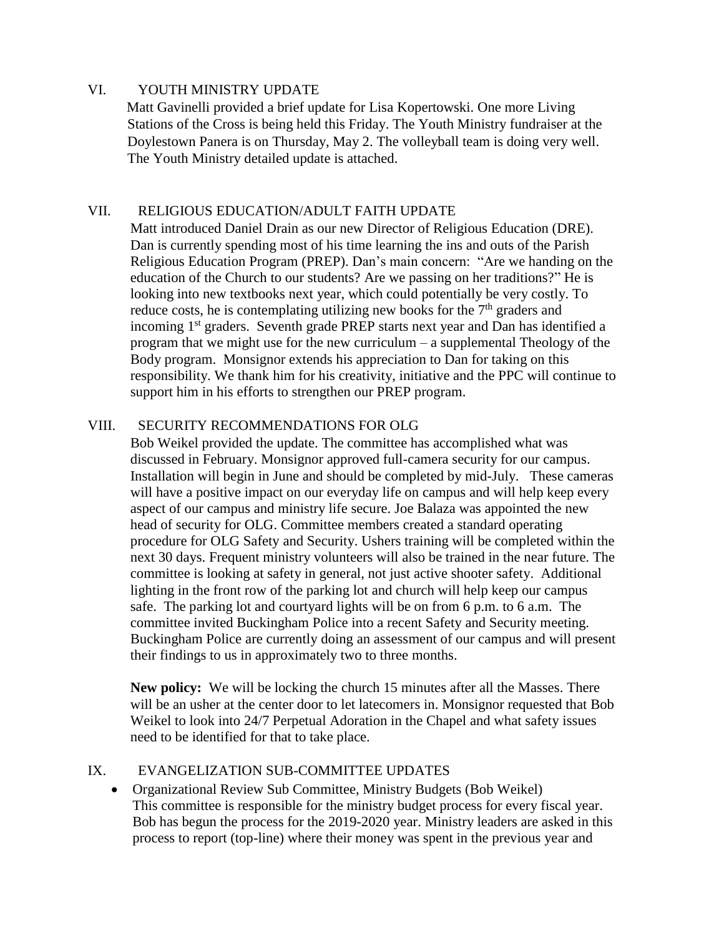#### VI. YOUTH MINISTRY UPDATE

Matt Gavinelli provided a brief update for Lisa Kopertowski. One more Living Stations of the Cross is being held this Friday. The Youth Ministry fundraiser at the Doylestown Panera is on Thursday, May 2. The volleyball team is doing very well. The Youth Ministry detailed update is attached.

#### VII. RELIGIOUS EDUCATION/ADULT FAITH UPDATE

Matt introduced Daniel Drain as our new Director of Religious Education (DRE). Dan is currently spending most of his time learning the ins and outs of the Parish Religious Education Program (PREP). Dan's main concern: "Are we handing on the education of the Church to our students? Are we passing on her traditions?" He is looking into new textbooks next year, which could potentially be very costly. To reduce costs, he is contemplating utilizing new books for the  $7<sup>th</sup>$  graders and incoming 1<sup>st</sup> graders. Seventh grade PREP starts next year and Dan has identified a program that we might use for the new curriculum – a supplemental Theology of the Body program. Monsignor extends his appreciation to Dan for taking on this responsibility. We thank him for his creativity, initiative and the PPC will continue to support him in his efforts to strengthen our PREP program.

#### VIII. SECURITY RECOMMENDATIONS FOR OLG

Bob Weikel provided the update. The committee has accomplished what was discussed in February. Monsignor approved full-camera security for our campus. Installation will begin in June and should be completed by mid-July. These cameras will have a positive impact on our everyday life on campus and will help keep every aspect of our campus and ministry life secure. Joe Balaza was appointed the new head of security for OLG. Committee members created a standard operating procedure for OLG Safety and Security. Ushers training will be completed within the next 30 days. Frequent ministry volunteers will also be trained in the near future. The committee is looking at safety in general, not just active shooter safety. Additional lighting in the front row of the parking lot and church will help keep our campus safe. The parking lot and courtyard lights will be on from 6 p.m. to 6 a.m. The committee invited Buckingham Police into a recent Safety and Security meeting. Buckingham Police are currently doing an assessment of our campus and will present their findings to us in approximately two to three months.

**New policy:** We will be locking the church 15 minutes after all the Masses. There will be an usher at the center door to let latecomers in. Monsignor requested that Bob Weikel to look into 24/7 Perpetual Adoration in the Chapel and what safety issues need to be identified for that to take place.

#### IX. EVANGELIZATION SUB-COMMITTEE UPDATES

 Organizational Review Sub Committee, Ministry Budgets (Bob Weikel) This committee is responsible for the ministry budget process for every fiscal year. Bob has begun the process for the 2019-2020 year. Ministry leaders are asked in this process to report (top-line) where their money was spent in the previous year and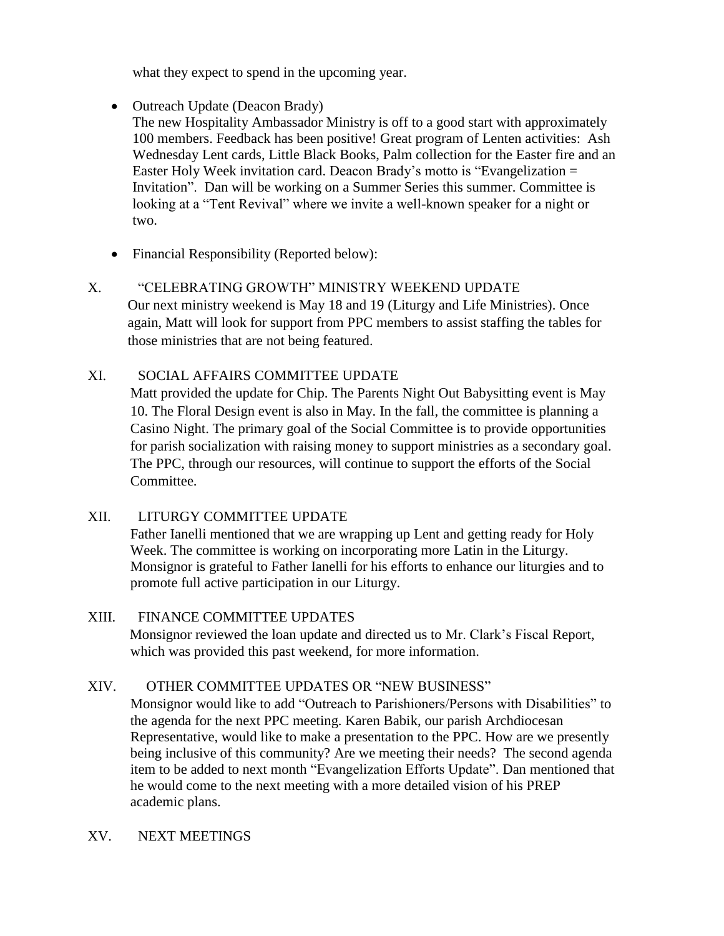what they expect to spend in the upcoming year.

- Outreach Update (Deacon Brady)
	- The new Hospitality Ambassador Ministry is off to a good start with approximately 100 members. Feedback has been positive! Great program of Lenten activities: Ash Wednesday Lent cards, Little Black Books, Palm collection for the Easter fire and an Easter Holy Week invitation card. Deacon Brady's motto is "Evangelization  $=$ Invitation". Dan will be working on a Summer Series this summer. Committee is looking at a "Tent Revival" where we invite a well-known speaker for a night or two.
- Financial Responsibility (Reported below):

### X. "CELEBRATING GROWTH" MINISTRY WEEKEND UPDATE

Our next ministry weekend is May 18 and 19 (Liturgy and Life Ministries). Once again, Matt will look for support from PPC members to assist staffing the tables for those ministries that are not being featured.

#### XI. SOCIAL AFFAIRS COMMITTEE UPDATE

Matt provided the update for Chip. The Parents Night Out Babysitting event is May 10. The Floral Design event is also in May. In the fall, the committee is planning a Casino Night. The primary goal of the Social Committee is to provide opportunities for parish socialization with raising money to support ministries as a secondary goal. The PPC, through our resources, will continue to support the efforts of the Social Committee.

#### XII. LITURGY COMMITTEE UPDATE

Father Ianelli mentioned that we are wrapping up Lent and getting ready for Holy Week. The committee is working on incorporating more Latin in the Liturgy. Monsignor is grateful to Father Ianelli for his efforts to enhance our liturgies and to promote full active participation in our Liturgy.

#### XIII. FINANCE COMMITTEE UPDATES

Monsignor reviewed the loan update and directed us to Mr. Clark's Fiscal Report, which was provided this past weekend, for more information.

#### XIV. OTHER COMMITTEE UPDATES OR "NEW BUSINESS"

Monsignor would like to add "Outreach to Parishioners/Persons with Disabilities" to the agenda for the next PPC meeting. Karen Babik, our parish Archdiocesan Representative, would like to make a presentation to the PPC. How are we presently being inclusive of this community? Are we meeting their needs? The second agenda item to be added to next month "Evangelization Efforts Update". Dan mentioned that he would come to the next meeting with a more detailed vision of his PREP academic plans.

XV. NEXT MEETINGS